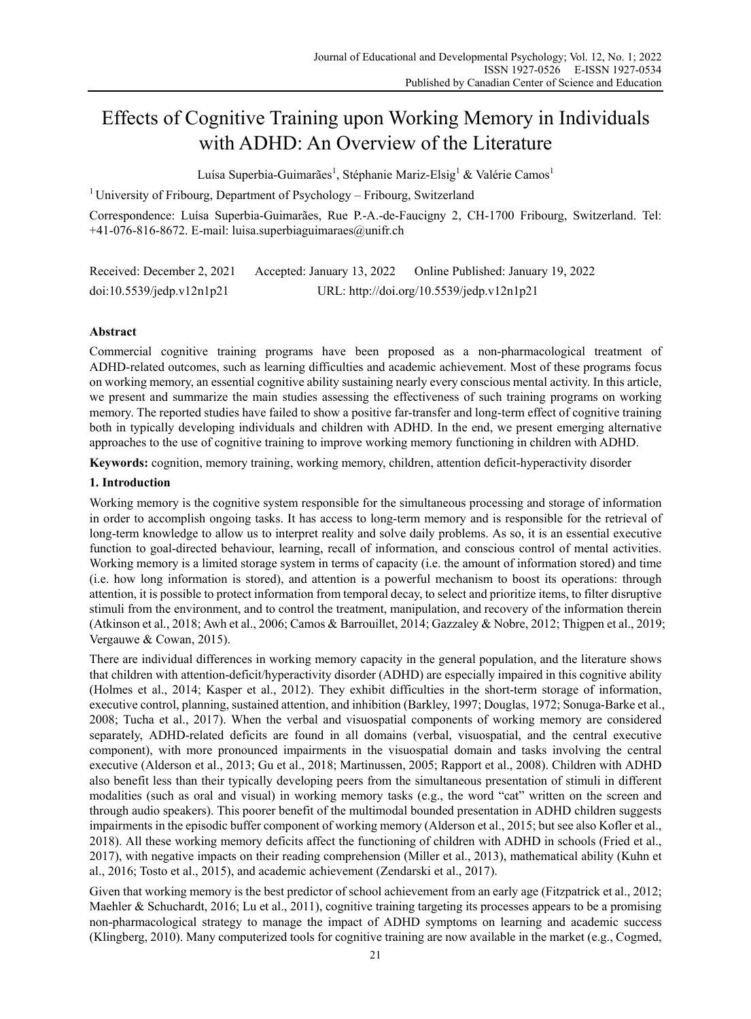# Effects of Cognitive Training upon Working Memory in Individuals with ADHD: An Overview of the Literature

Luísa Superbia-Guimarães<sup>1</sup>, Stéphanie Mariz-Elsig<sup>1</sup> & Valérie Camos<sup>1</sup>

<sup>1</sup> University of Fribourg, Department of Psychology – Fribourg, Switzerland

Correspondence: Luísa Superbia-Guimarães, Rue P.-A.-de-Faucigny 2, CH-1700 Fribourg, Switzerland. Tel:  $+41-076-816-8672$ . E-mail: luisa.superbiaguimaraes@unifr.ch

Received: December 2, 2021 Accepted: January 13, 2022 Online Published: January 19, 2022 doi:10.5539/jedp.v12n1p21 URL: http://doi.org/10.5539/jedp.v12n1p21

# **Abstract**

Commercial cognitive training programs have been proposed as a non-pharmacological treatment of ADHD-related outcomes, such as learning difficulties and academic achievement. Most of these programs focus on working memory, an essential cognitive ability sustaining nearly every conscious mental activity. In this article, we present and summarize the main studies assessing the effectiveness of such training programs on working memory. The reported studies have failed to show a positive far-transfer and long-term effect of cognitive training both in typically developing individuals and children with ADHD. In the end, we present emerging alternative approaches to the use of cognitive training to improve working memory functioning in children with ADHD.

**Keywords:** cognition, memory training, working memory, children, attention deficit-hyperactivity disorder

## **1. Introduction**

Working memory is the cognitive system responsible for the simultaneous processing and storage of information in order to accomplish ongoing tasks. It has access to long-term memory and is responsible for the retrieval of long-term knowledge to allow us to interpret reality and solve daily problems. As so, it is an essential executive function to goal-directed behaviour, learning, recall of information, and conscious control of mental activities. Working memory is a limited storage system in terms of capacity (i.e. the amount of information stored) and time (i.e. how long information is stored), and attention is a powerful mechanism to boost its operations: through attention, it is possible to protect information from temporal decay, to select and prioritize items, to filter disruptive stimuli from the environment, and to control the treatment, manipulation, and recovery of the information therein (Atkinson et al., 2018; Awh et al., 2006; Camos & Barrouillet, 2014; Gazzaley & Nobre, 2012; Thigpen et al., 2019; Vergauwe & Cowan, 2015).

There are individual differences in working memory capacity in the general population, and the literature shows that children with attention-deficit/hyperactivity disorder (ADHD) are especially impaired in this cognitive ability (Holmes et al., 2014; Kasper et al., 2012). They exhibit difficulties in the short-term storage of information, executive control, planning, sustained attention, and inhibition (Barkley, 1997; Douglas, 1972; Sonuga-Barke et al., 2008; Tucha et al., 2017). When the verbal and visuospatial components of working memory are considered separately, ADHD-related deficits are found in all domains (verbal, visuospatial, and the central executive component), with more pronounced impairments in the visuospatial domain and tasks involving the central executive (Alderson et al., 2013; Gu et al., 2018; Martinussen, 2005; Rapport et al., 2008). Children with ADHD also benefit less than their typically developing peers from the simultaneous presentation of stimuli in different modalities (such as oral and visual) in working memory tasks (e.g., the word "cat" written on the screen and through audio speakers). This poorer benefit of the multimodal bounded presentation in ADHD children suggests impairments in the episodic buffer component of working memory (Alderson et al., 2015; but see also Kofler et al., 2018). All these working memory deficits affect the functioning of children with ADHD in schools (Fried et al., 2017), with negative impacts on their reading comprehension (Miller et al., 2013), mathematical ability (Kuhn et al., 2016; Tosto et al., 2015), and academic achievement (Zendarski et al., 2017).

Given that working memory is the best predictor of school achievement from an early age (Fitzpatrick et al., 2012; Maehler & Schuchardt, 2016; Lu et al., 2011), cognitive training targeting its processes appears to be a promising non-pharmacological strategy to manage the impact of ADHD symptoms on learning and academic success (Klingberg, 2010). Many computerized tools for cognitive training are now available in the market (e.g., Cogmed,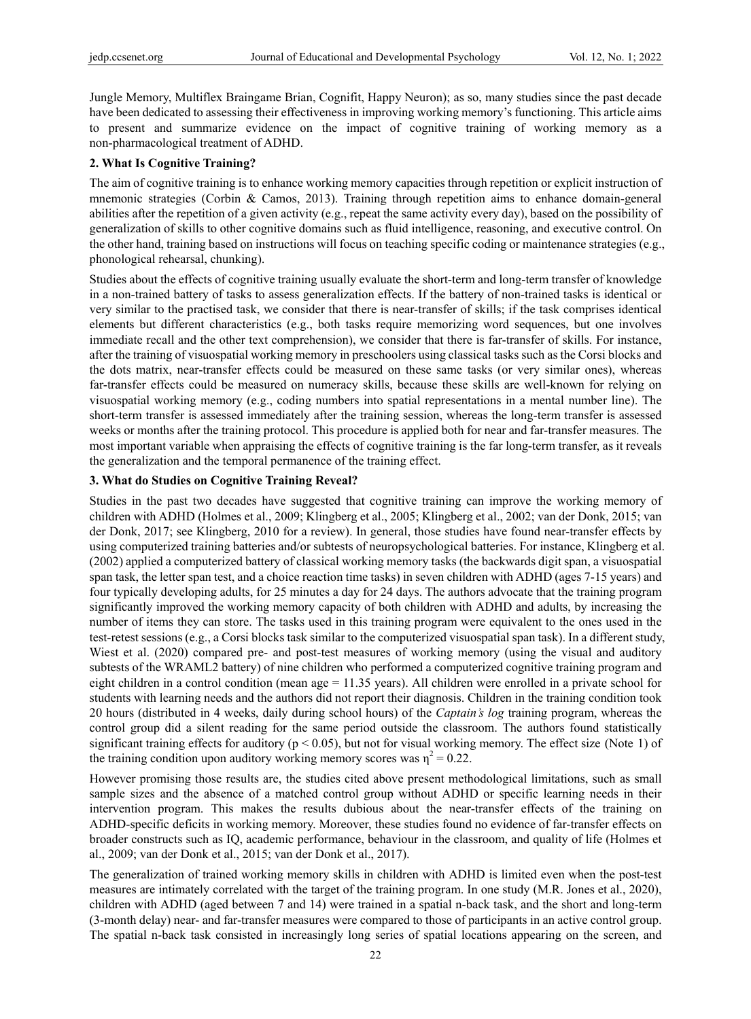Jungle Memory, Multiflex Braingame Brian, Cognifit, Happy Neuron); as so, many studies since the past decade have been dedicated to assessing their effectiveness in improving working memory's functioning. This article aims to present and summarize evidence on the impact of cognitive training of working memory as a non-pharmacological treatment of ADHD.

#### **2. What Is Cognitive Training?**

The aim of cognitive training is to enhance working memory capacities through repetition or explicit instruction of mnemonic strategies (Corbin & Camos, 2013). Training through repetition aims to enhance domain-general abilities after the repetition of a given activity (e.g., repeat the same activity every day), based on the possibility of generalization of skills to other cognitive domains such as fluid intelligence, reasoning, and executive control. On the other hand, training based on instructions will focus on teaching specific coding or maintenance strategies (e.g., phonological rehearsal, chunking).

Studies about the effects of cognitive training usually evaluate the short-term and long-term transfer of knowledge in a non-trained battery of tasks to assess generalization effects. If the battery of non-trained tasks is identical or very similar to the practised task, we consider that there is near-transfer of skills; if the task comprises identical elements but different characteristics (e.g., both tasks require memorizing word sequences, but one involves immediate recall and the other text comprehension), we consider that there is far-transfer of skills. For instance, after the training of visuospatial working memory in preschoolers using classical tasks such as the Corsi blocks and the dots matrix, near-transfer effects could be measured on these same tasks (or very similar ones), whereas far-transfer effects could be measured on numeracy skills, because these skills are well-known for relying on visuospatial working memory (e.g., coding numbers into spatial representations in a mental number line). The short-term transfer is assessed immediately after the training session, whereas the long-term transfer is assessed weeks or months after the training protocol. This procedure is applied both for near and far-transfer measures. The most important variable when appraising the effects of cognitive training is the far long-term transfer, as it reveals the generalization and the temporal permanence of the training effect.

#### **3. What do Studies on Cognitive Training Reveal?**

Studies in the past two decades have suggested that cognitive training can improve the working memory of children with ADHD (Holmes et al., 2009; Klingberg et al., 2005; Klingberg et al., 2002; van der Donk, 2015; van der Donk, 2017; see Klingberg, 2010 for a review). In general, those studies have found near-transfer effects by using computerized training batteries and/or subtests of neuropsychological batteries. For instance, Klingberg et al. (2002) applied a computerized battery of classical working memory tasks (the backwards digit span, a visuospatial span task, the letter span test, and a choice reaction time tasks) in seven children with ADHD (ages 7-15 years) and four typically developing adults, for 25 minutes a day for 24 days. The authors advocate that the training program significantly improved the working memory capacity of both children with ADHD and adults, by increasing the number of items they can store. The tasks used in this training program were equivalent to the ones used in the test-retest sessions (e.g., a Corsi blocks task similar to the computerized visuospatial span task). In a different study, Wiest et al. (2020) compared pre- and post-test measures of working memory (using the visual and auditory subtests of the WRAML2 battery) of nine children who performed a computerized cognitive training program and eight children in a control condition (mean age = 11.35 years). All children were enrolled in a private school for students with learning needs and the authors did not report their diagnosis. Children in the training condition took 20 hours (distributed in 4 weeks, daily during school hours) of the *Captain's log* training program, whereas the control group did a silent reading for the same period outside the classroom. The authors found statistically significant training effects for auditory ( $p < 0.05$ ), but not for visual working memory. The effect size (Note 1) of the training condition upon auditory working memory scores was  $\eta^2 = 0.22$ .

However promising those results are, the studies cited above present methodological limitations, such as small sample sizes and the absence of a matched control group without ADHD or specific learning needs in their intervention program. This makes the results dubious about the near-transfer effects of the training on ADHD-specific deficits in working memory. Moreover, these studies found no evidence of far-transfer effects on broader constructs such as IQ, academic performance, behaviour in the classroom, and quality of life (Holmes et al., 2009; van der Donk et al., 2015; van der Donk et al., 2017).

The generalization of trained working memory skills in children with ADHD is limited even when the post-test measures are intimately correlated with the target of the training program. In one study (M.R. Jones et al., 2020), children with ADHD (aged between 7 and 14) were trained in a spatial n-back task, and the short and long-term (3-month delay) near- and far-transfer measures were compared to those of participants in an active control group. The spatial n-back task consisted in increasingly long series of spatial locations appearing on the screen, and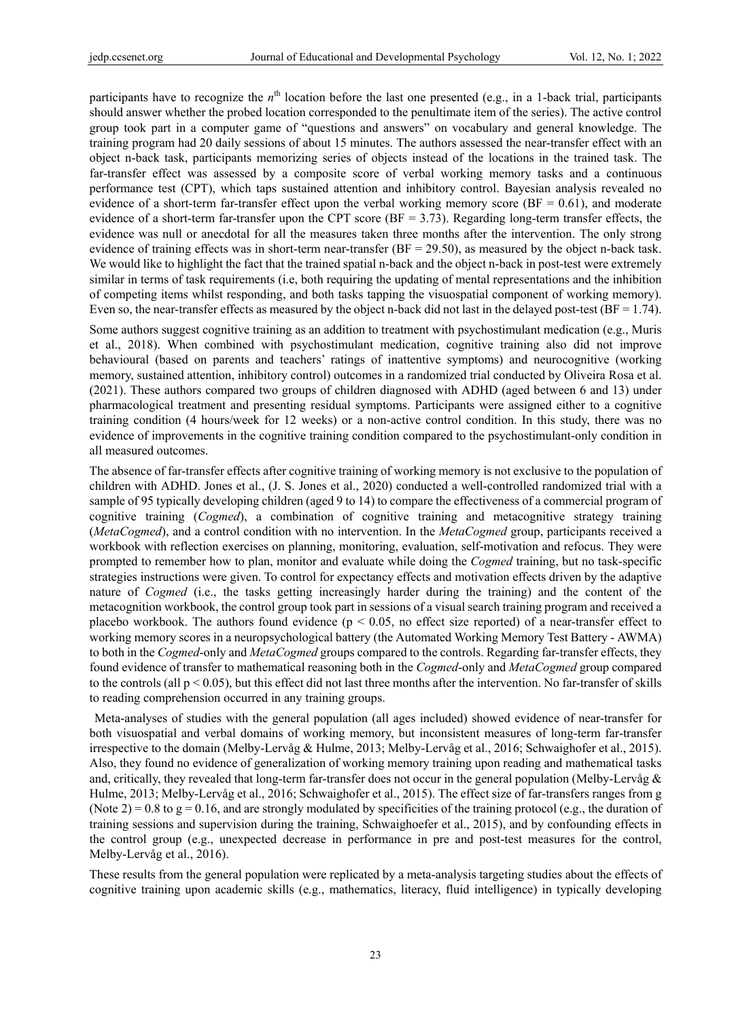participants have to recognize the *n*<sup>th</sup> location before the last one presented (e.g., in a 1-back trial, participants should answer whether the probed location corresponded to the penultimate item of the series). The active control group took part in a computer game of "questions and answers" on vocabulary and general knowledge. The training program had 20 daily sessions of about 15 minutes. The authors assessed the near-transfer effect with an object n-back task, participants memorizing series of objects instead of the locations in the trained task. The far-transfer effect was assessed by a composite score of verbal working memory tasks and a continuous performance test (CPT), which taps sustained attention and inhibitory control. Bayesian analysis revealed no evidence of a short-term far-transfer effect upon the verbal working memory score  $(BF = 0.61)$ , and moderate evidence of a short-term far-transfer upon the CPT score ( $BF = 3.73$ ). Regarding long-term transfer effects, the evidence was null or anecdotal for all the measures taken three months after the intervention. The only strong evidence of training effects was in short-term near-transfer ( $BF = 29.50$ ), as measured by the object n-back task. We would like to highlight the fact that the trained spatial n-back and the object n-back in post-test were extremely similar in terms of task requirements (i.e, both requiring the updating of mental representations and the inhibition of competing items whilst responding, and both tasks tapping the visuospatial component of working memory). Even so, the near-transfer effects as measured by the object n-back did not last in the delayed post-test  $(BF = 1.74)$ .

Some authors suggest cognitive training as an addition to treatment with psychostimulant medication (e.g., Muris et al., 2018). When combined with psychostimulant medication, cognitive training also did not improve behavioural (based on parents and teachers' ratings of inattentive symptoms) and neurocognitive (working memory, sustained attention, inhibitory control) outcomes in a randomized trial conducted by Oliveira Rosa et al. (2021). These authors compared two groups of children diagnosed with ADHD (aged between 6 and 13) under pharmacological treatment and presenting residual symptoms. Participants were assigned either to a cognitive training condition (4 hours/week for 12 weeks) or a non-active control condition. In this study, there was no evidence of improvements in the cognitive training condition compared to the psychostimulant-only condition in all measured outcomes.

The absence of far-transfer effects after cognitive training of working memory is not exclusive to the population of children with ADHD. Jones et al., (J. S. Jones et al., 2020) conducted a well-controlled randomized trial with a sample of 95 typically developing children (aged 9 to 14) to compare the effectiveness of a commercial program of cognitive training (*Cogmed*), a combination of cognitive training and metacognitive strategy training (*MetaCogmed*), and a control condition with no intervention. In the *MetaCogmed* group, participants received a workbook with reflection exercises on planning, monitoring, evaluation, self-motivation and refocus. They were prompted to remember how to plan, monitor and evaluate while doing the *Cogmed* training, but no task-specific strategies instructions were given. To control for expectancy effects and motivation effects driven by the adaptive nature of *Cogmed* (i.e., the tasks getting increasingly harder during the training) and the content of the metacognition workbook, the control group took part in sessions of a visual search training program and received a placebo workbook. The authors found evidence ( $p < 0.05$ , no effect size reported) of a near-transfer effect to working memory scores in a neuropsychological battery (the Automated Working Memory Test Battery - AWMA) to both in the *Cogmed*-only and *MetaCogmed* groups compared to the controls. Regarding far-transfer effects, they found evidence of transfer to mathematical reasoning both in the *Cogmed*-only and *MetaCogmed* group compared to the controls (all  $p < 0.05$ ), but this effect did not last three months after the intervention. No far-transfer of skills to reading comprehension occurred in any training groups.

 Meta-analyses of studies with the general population (all ages included) showed evidence of near-transfer for both visuospatial and verbal domains of working memory, but inconsistent measures of long-term far-transfer irrespective to the domain (Melby-Lervåg & Hulme, 2013; Melby-Lervåg et al., 2016; Schwaighofer et al., 2015). Also, they found no evidence of generalization of working memory training upon reading and mathematical tasks and, critically, they revealed that long-term far-transfer does not occur in the general population (Melby-Lervåg & Hulme, 2013; Melby-Lervåg et al., 2016; Schwaighofer et al., 2015). The effect size of far-transfers ranges from g (Note 2) =  $0.8$  to g =  $0.16$ , and are strongly modulated by specificities of the training protocol (e.g., the duration of training sessions and supervision during the training, Schwaighoefer et al., 2015), and by confounding effects in the control group (e.g., unexpected decrease in performance in pre and post-test measures for the control, Melby-Lervåg et al., 2016).

These results from the general population were replicated by a meta-analysis targeting studies about the effects of cognitive training upon academic skills (e.g., mathematics, literacy, fluid intelligence) in typically developing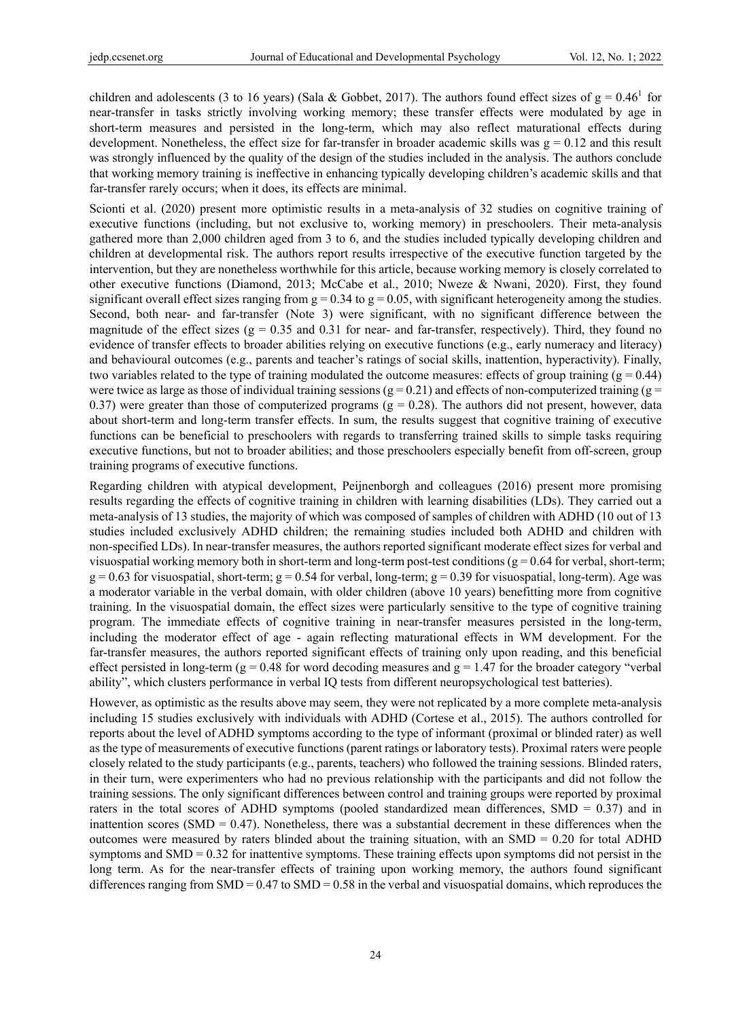children and adolescents (3 to 16 years) (Sala & Gobbet, 2017). The authors found effect sizes of  $g = 0.46^1$  for near-transfer in tasks strictly involving working memory; these transfer effects were modulated by age in short-term measures and persisted in the long-term, which may also reflect maturational effects during development. Nonetheless, the effect size for far-transfer in broader academic skills was  $g = 0.12$  and this result was strongly influenced by the quality of the design of the studies included in the analysis. The authors conclude that working memory training is ineffective in enhancing typically developing children's academic skills and that far-transfer rarely occurs; when it does, its effects are minimal.

Scionti et al. (2020) present more optimistic results in a meta-analysis of 32 studies on cognitive training of executive functions (including, but not exclusive to, working memory) in preschoolers. Their meta-analysis gathered more than 2,000 children aged from 3 to 6, and the studies included typically developing children and children at developmental risk. The authors report results irrespective of the executive function targeted by the intervention, but they are nonetheless worthwhile for this article, because working memory is closely correlated to other executive functions (Diamond, 2013; McCabe et al., 2010; Nweze & Nwani, 2020). First, they found significant overall effect sizes ranging from  $g = 0.34$  to  $g = 0.05$ , with significant heterogeneity among the studies. Second, both near- and far-transfer (Note 3) were significant, with no significant difference between the magnitude of the effect sizes ( $g = 0.35$  and 0.31 for near- and far-transfer, respectively). Third, they found no evidence of transfer effects to broader abilities relying on executive functions (e.g., early numeracy and literacy) and behavioural outcomes (e.g., parents and teacher's ratings of social skills, inattention, hyperactivity). Finally, two variables related to the type of training modulated the outcome measures: effects of group training ( $g = 0.44$ ) were twice as large as those of individual training sessions ( $g = 0.21$ ) and effects of non-computerized training ( $g =$ 0.37) were greater than those of computerized programs  $(g = 0.28)$ . The authors did not present, however, data about short-term and long-term transfer effects. In sum, the results suggest that cognitive training of executive functions can be beneficial to preschoolers with regards to transferring trained skills to simple tasks requiring executive functions, but not to broader abilities; and those preschoolers especially benefit from off-screen, group training programs of executive functions.

Regarding children with atypical development, Peijnenborgh and colleagues (2016) present more promising results regarding the effects of cognitive training in children with learning disabilities (LDs). They carried out a meta-analysis of 13 studies, the majority of which was composed of samples of children with ADHD (10 out of 13 studies included exclusively ADHD children; the remaining studies included both ADHD and children with non-specified LDs). In near-transfer measures, the authors reported significant moderate effect sizes for verbal and visuospatial working memory both in short-term and long-term post-test conditions ( $g = 0.64$  for verbal, short-term;  $g = 0.63$  for visuospatial, short-term;  $g = 0.54$  for verbal, long-term;  $g = 0.39$  for visuospatial, long-term). Age was a moderator variable in the verbal domain, with older children (above 10 years) benefitting more from cognitive training. In the visuospatial domain, the effect sizes were particularly sensitive to the type of cognitive training program. The immediate effects of cognitive training in near-transfer measures persisted in the long-term, including the moderator effect of age - again reflecting maturational effects in WM development. For the far-transfer measures, the authors reported significant effects of training only upon reading, and this beneficial effect persisted in long-term ( $g = 0.48$  for word decoding measures and  $g = 1.47$  for the broader category "verbal" ability", which clusters performance in verbal IQ tests from different neuropsychological test batteries).

However, as optimistic as the results above may seem, they were not replicated by a more complete meta-analysis including 15 studies exclusively with individuals with ADHD (Cortese et al., 2015). The authors controlled for reports about the level of ADHD symptoms according to the type of informant (proximal or blinded rater) as well as the type of measurements of executive functions (parent ratings or laboratory tests). Proximal raters were people closely related to the study participants (e.g., parents, teachers) who followed the training sessions. Blinded raters, in their turn, were experimenters who had no previous relationship with the participants and did not follow the training sessions. The only significant differences between control and training groups were reported by proximal raters in the total scores of ADHD symptoms (pooled standardized mean differences, SMD = 0.37) and in inattention scores (SMD =  $0.47$ ). Nonetheless, there was a substantial decrement in these differences when the outcomes were measured by raters blinded about the training situation, with an  $SMD = 0.20$  for total ADHD symptoms and SMD = 0.32 for inattentive symptoms. These training effects upon symptoms did not persist in the long term. As for the near-transfer effects of training upon working memory, the authors found significant differences ranging from  $SMD = 0.47$  to  $SMD = 0.58$  in the verbal and visuospatial domains, which reproduces the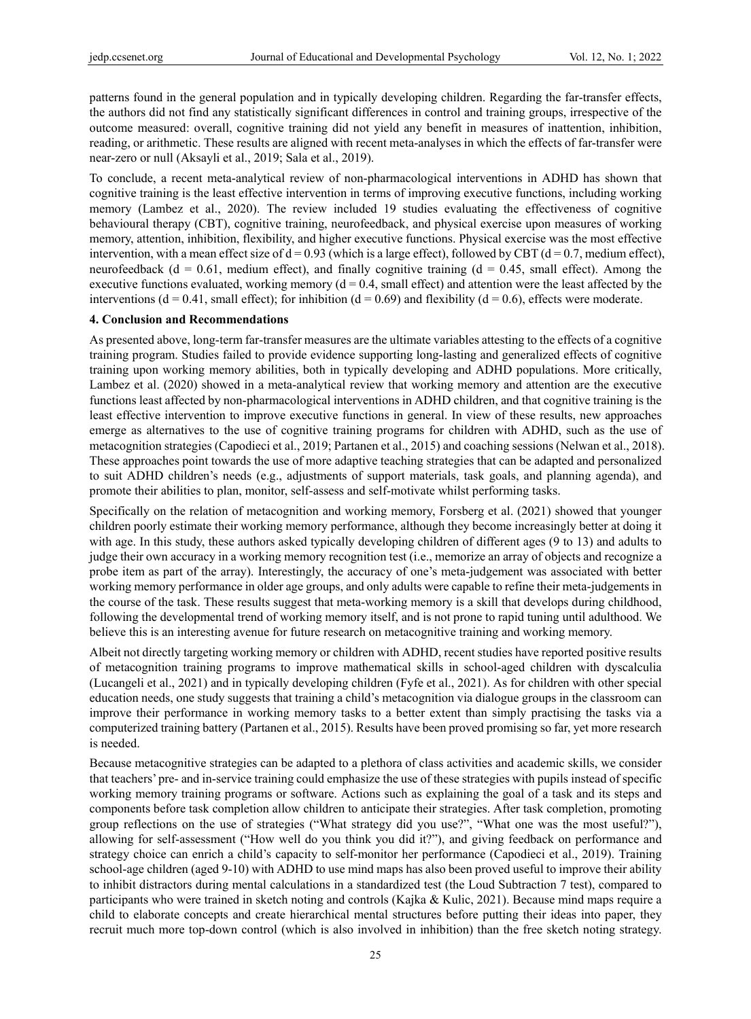patterns found in the general population and in typically developing children. Regarding the far-transfer effects, the authors did not find any statistically significant differences in control and training groups, irrespective of the outcome measured: overall, cognitive training did not yield any benefit in measures of inattention, inhibition, reading, or arithmetic. These results are aligned with recent meta-analyses in which the effects of far-transfer were near-zero or null (Aksayli et al., 2019; Sala et al., 2019).

To conclude, a recent meta-analytical review of non-pharmacological interventions in ADHD has shown that cognitive training is the least effective intervention in terms of improving executive functions, including working memory (Lambez et al., 2020). The review included 19 studies evaluating the effectiveness of cognitive behavioural therapy (CBT), cognitive training, neurofeedback, and physical exercise upon measures of working memory, attention, inhibition, flexibility, and higher executive functions. Physical exercise was the most effective intervention, with a mean effect size of  $d = 0.93$  (which is a large effect), followed by CBT ( $d = 0.7$ , medium effect), neurofeedback ( $d = 0.61$ , medium effect), and finally cognitive training ( $d = 0.45$ , small effect). Among the executive functions evaluated, working memory ( $d = 0.4$ , small effect) and attention were the least affected by the interventions ( $d = 0.41$ , small effect); for inhibition ( $d = 0.69$ ) and flexibility ( $d = 0.6$ ), effects were moderate.

#### **4. Conclusion and Recommendations**

As presented above, long-term far-transfer measures are the ultimate variables attesting to the effects of a cognitive training program. Studies failed to provide evidence supporting long-lasting and generalized effects of cognitive training upon working memory abilities, both in typically developing and ADHD populations. More critically, Lambez et al. (2020) showed in a meta-analytical review that working memory and attention are the executive functions least affected by non-pharmacological interventions in ADHD children, and that cognitive training is the least effective intervention to improve executive functions in general. In view of these results, new approaches emerge as alternatives to the use of cognitive training programs for children with ADHD, such as the use of metacognition strategies (Capodieci et al., 2019; Partanen et al., 2015) and coaching sessions (Nelwan et al., 2018). These approaches point towards the use of more adaptive teaching strategies that can be adapted and personalized to suit ADHD children's needs (e.g., adjustments of support materials, task goals, and planning agenda), and promote their abilities to plan, monitor, self-assess and self-motivate whilst performing tasks.

Specifically on the relation of metacognition and working memory, Forsberg et al. (2021) showed that younger children poorly estimate their working memory performance, although they become increasingly better at doing it with age. In this study, these authors asked typically developing children of different ages (9 to 13) and adults to judge their own accuracy in a working memory recognition test (i.e., memorize an array of objects and recognize a probe item as part of the array). Interestingly, the accuracy of one's meta-judgement was associated with better working memory performance in older age groups, and only adults were capable to refine their meta-judgements in the course of the task. These results suggest that meta-working memory is a skill that develops during childhood, following the developmental trend of working memory itself, and is not prone to rapid tuning until adulthood. We believe this is an interesting avenue for future research on metacognitive training and working memory.

Albeit not directly targeting working memory or children with ADHD, recent studies have reported positive results of metacognition training programs to improve mathematical skills in school-aged children with dyscalculia (Lucangeli et al., 2021) and in typically developing children (Fyfe et al., 2021). As for children with other special education needs, one study suggests that training a child's metacognition via dialogue groups in the classroom can improve their performance in working memory tasks to a better extent than simply practising the tasks via a computerized training battery (Partanen et al., 2015). Results have been proved promising so far, yet more research is needed.

Because metacognitive strategies can be adapted to a plethora of class activities and academic skills, we consider that teachers' pre- and in-service training could emphasize the use of these strategies with pupils instead of specific working memory training programs or software. Actions such as explaining the goal of a task and its steps and components before task completion allow children to anticipate their strategies. After task completion, promoting group reflections on the use of strategies ("What strategy did you use?", "What one was the most useful?"), allowing for self-assessment ("How well do you think you did it?"), and giving feedback on performance and strategy choice can enrich a child's capacity to self-monitor her performance (Capodieci et al., 2019). Training school-age children (aged 9-10) with ADHD to use mind maps has also been proved useful to improve their ability to inhibit distractors during mental calculations in a standardized test (the Loud Subtraction 7 test), compared to participants who were trained in sketch noting and controls (Kajka & Kulic, 2021). Because mind maps require a child to elaborate concepts and create hierarchical mental structures before putting their ideas into paper, they recruit much more top-down control (which is also involved in inhibition) than the free sketch noting strategy.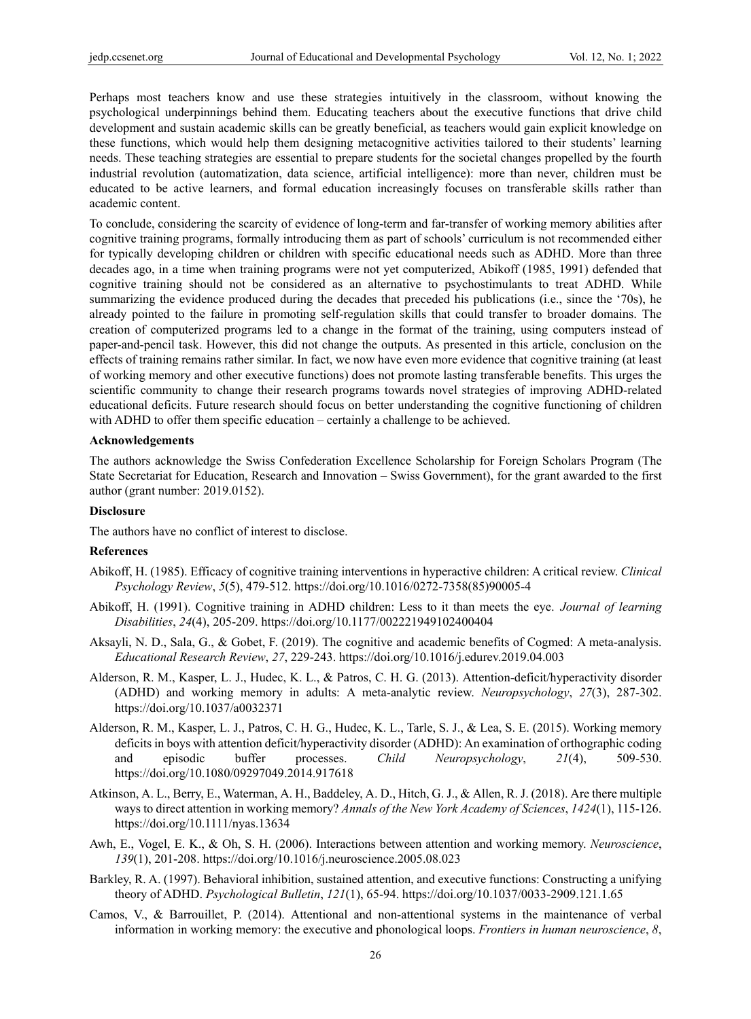Perhaps most teachers know and use these strategies intuitively in the classroom, without knowing the psychological underpinnings behind them. Educating teachers about the executive functions that drive child development and sustain academic skills can be greatly beneficial, as teachers would gain explicit knowledge on these functions, which would help them designing metacognitive activities tailored to their students' learning needs. These teaching strategies are essential to prepare students for the societal changes propelled by the fourth industrial revolution (automatization, data science, artificial intelligence): more than never, children must be educated to be active learners, and formal education increasingly focuses on transferable skills rather than academic content.

To conclude, considering the scarcity of evidence of long-term and far-transfer of working memory abilities after cognitive training programs, formally introducing them as part of schools' curriculum is not recommended either for typically developing children or children with specific educational needs such as ADHD. More than three decades ago, in a time when training programs were not yet computerized, Abikoff (1985, 1991) defended that cognitive training should not be considered as an alternative to psychostimulants to treat ADHD. While summarizing the evidence produced during the decades that preceded his publications (i.e., since the '70s), he already pointed to the failure in promoting self-regulation skills that could transfer to broader domains. The creation of computerized programs led to a change in the format of the training, using computers instead of paper-and-pencil task. However, this did not change the outputs. As presented in this article, conclusion on the effects of training remains rather similar. In fact, we now have even more evidence that cognitive training (at least of working memory and other executive functions) does not promote lasting transferable benefits. This urges the scientific community to change their research programs towards novel strategies of improving ADHD-related educational deficits. Future research should focus on better understanding the cognitive functioning of children with ADHD to offer them specific education – certainly a challenge to be achieved.

#### **Acknowledgements**

The authors acknowledge the Swiss Confederation Excellence Scholarship for Foreign Scholars Program (The State Secretariat for Education, Research and Innovation – Swiss Government), for the grant awarded to the first author (grant number: 2019.0152).

#### **Disclosure**

The authors have no conflict of interest to disclose.

#### **References**

- Abikoff, H. (1985). Efficacy of cognitive training interventions in hyperactive children: A critical review. *Clinical Psychology Review*, *5*(5), 479-512. https://doi.org/10.1016/0272-7358(85)90005-4
- Abikoff, H. (1991). Cognitive training in ADHD children: Less to it than meets the eye. *Journal of learning Disabilities*, *24*(4), 205-209. https://doi.org/10.1177/002221949102400404
- Aksayli, N. D., Sala, G., & Gobet, F. (2019). The cognitive and academic benefits of Cogmed: A meta-analysis. *Educational Research Review*, *27*, 229-243. https://doi.org/10.1016/j.edurev.2019.04.003
- Alderson, R. M., Kasper, L. J., Hudec, K. L., & Patros, C. H. G. (2013). Attention-deficit/hyperactivity disorder (ADHD) and working memory in adults: A meta-analytic review. *Neuropsychology*, *27*(3), 287-302. https://doi.org/10.1037/a0032371
- Alderson, R. M., Kasper, L. J., Patros, C. H. G., Hudec, K. L., Tarle, S. J., & Lea, S. E. (2015). Working memory deficits in boys with attention deficit/hyperactivity disorder (ADHD): An examination of orthographic coding and episodic buffer processes. *Child Neuropsychology*, *21*(4), 509-530. https://doi.org/10.1080/09297049.2014.917618
- Atkinson, A. L., Berry, E., Waterman, A. H., Baddeley, A. D., Hitch, G. J., & Allen, R. J. (2018). Are there multiple ways to direct attention in working memory? *Annals of the New York Academy of Sciences*, *1424*(1), 115-126. https://doi.org/10.1111/nyas.13634
- Awh, E., Vogel, E. K., & Oh, S. H. (2006). Interactions between attention and working memory. *Neuroscience*, *139*(1), 201-208. https://doi.org/10.1016/j.neuroscience.2005.08.023
- Barkley, R. A. (1997). Behavioral inhibition, sustained attention, and executive functions: Constructing a unifying theory of ADHD. *Psychological Bulletin*, *121*(1), 65-94. https://doi.org/10.1037/0033-2909.121.1.65
- Camos, V., & Barrouillet, P. (2014). Attentional and non-attentional systems in the maintenance of verbal information in working memory: the executive and phonological loops. *Frontiers in human neuroscience*, *8*,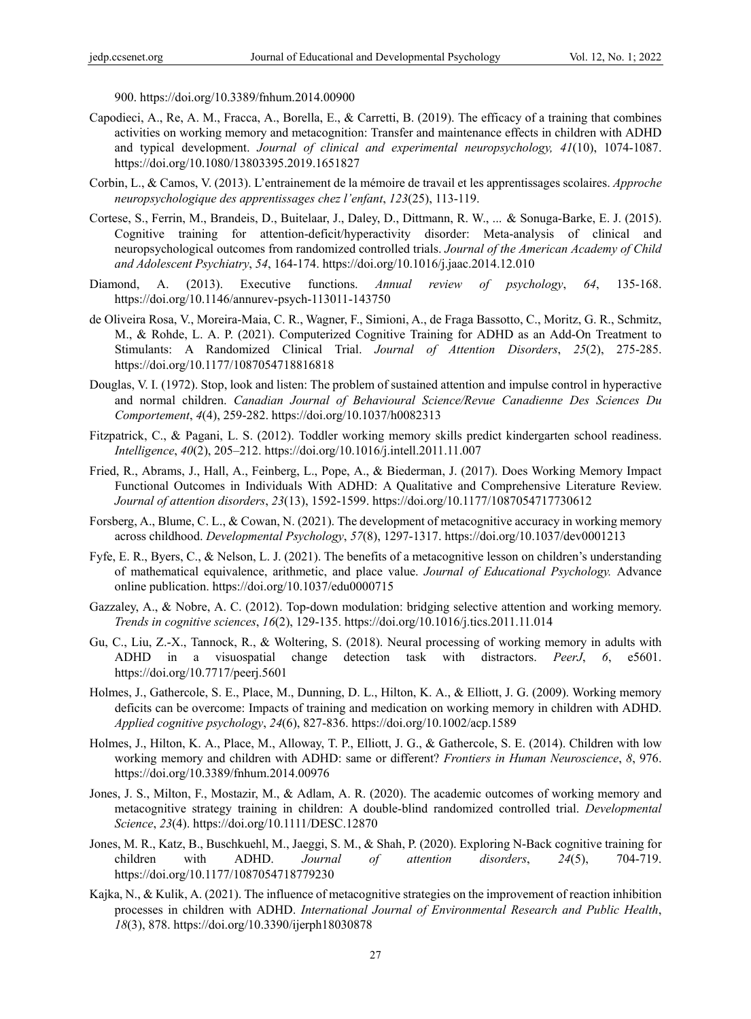900. https://doi.org/10.3389/fnhum.2014.00900

- Capodieci, A., Re, A. M., Fracca, A., Borella, E., & Carretti, B. (2019). The efficacy of a training that combines activities on working memory and metacognition: Transfer and maintenance effects in children with ADHD and typical development. *Journal of clinical and experimental neuropsychology, 41*(10), 1074-1087. https://doi.org/10.1080/13803395.2019.1651827
- Corbin, L., & Camos, V. (2013). L'entrainement de la mémoire de travail et les apprentissages scolaires. *Approche neuropsychologique des apprentissages chez l'enfant*, *123*(25), 113-119.
- Cortese, S., Ferrin, M., Brandeis, D., Buitelaar, J., Daley, D., Dittmann, R. W., ... & Sonuga-Barke, E. J. (2015). Cognitive training for attention-deficit/hyperactivity disorder: Meta-analysis of clinical and neuropsychological outcomes from randomized controlled trials. *Journal of the American Academy of Child and Adolescent Psychiatry*, *54*, 164-174. https://doi.org/10.1016/j.jaac.2014.12.010
- Diamond, A. (2013). Executive functions. *Annual review of psychology*, *64*, 135-168. https://doi.org/10.1146/annurev-psych-113011-143750
- de Oliveira Rosa, V., Moreira-Maia, C. R., Wagner, F., Simioni, A., de Fraga Bassotto, C., Moritz, G. R., Schmitz, M., & Rohde, L. A. P. (2021). Computerized Cognitive Training for ADHD as an Add-On Treatment to Stimulants: A Randomized Clinical Trial. *Journal of Attention Disorders*, *25*(2), 275-285. https://doi.org/10.1177/1087054718816818
- Douglas, V. I. (1972). Stop, look and listen: The problem of sustained attention and impulse control in hyperactive and normal children. *Canadian Journal of Behavioural Science/Revue Canadienne Des Sciences Du Comportement*, *4*(4), 259-282. https://doi.org/10.1037/h0082313
- Fitzpatrick, C., & Pagani, L. S. (2012). Toddler working memory skills predict kindergarten school readiness. *Intelligence*, *40*(2), 205–212. https://doi.org/10.1016/j.intell.2011.11.007
- Fried, R., Abrams, J., Hall, A., Feinberg, L., Pope, A., & Biederman, J. (2017). Does Working Memory Impact Functional Outcomes in Individuals With ADHD: A Qualitative and Comprehensive Literature Review. *Journal of attention disorders*, *23*(13), 1592-1599. https://doi.org/10.1177/1087054717730612
- Forsberg, A., Blume, C. L., & Cowan, N. (2021). The development of metacognitive accuracy in working memory across childhood. *Developmental Psychology*, *57*(8), 1297-1317. https://doi.org/10.1037/dev0001213
- Fyfe, E. R., Byers, C., & Nelson, L. J. (2021). The benefits of a metacognitive lesson on children's understanding of mathematical equivalence, arithmetic, and place value. *Journal of Educational Psychology.* Advance online publication. https://doi.org/10.1037/edu0000715
- Gazzaley, A., & Nobre, A. C. (2012). Top-down modulation: bridging selective attention and working memory. *Trends in cognitive sciences*, *16*(2), 129-135. https://doi.org/10.1016/j.tics.2011.11.014
- Gu, C., Liu, Z.-X., Tannock, R., & Woltering, S. (2018). Neural processing of working memory in adults with ADHD in a visuospatial change detection task with distractors. *PeerJ*, *6*, e5601. https://doi.org/10.7717/peerj.5601
- Holmes, J., Gathercole, S. E., Place, M., Dunning, D. L., Hilton, K. A., & Elliott, J. G. (2009). Working memory deficits can be overcome: Impacts of training and medication on working memory in children with ADHD. *Applied cognitive psychology*, *24*(6), 827-836. https://doi.org/10.1002/acp.1589
- Holmes, J., Hilton, K. A., Place, M., Alloway, T. P., Elliott, J. G., & Gathercole, S. E. (2014). Children with low working memory and children with ADHD: same or different? *Frontiers in Human Neuroscience*, *8*, 976. https://doi.org/10.3389/fnhum.2014.00976
- Jones, J. S., Milton, F., Mostazir, M., & Adlam, A. R. (2020). The academic outcomes of working memory and metacognitive strategy training in children: A double-blind randomized controlled trial. *Developmental Science*, *23*(4). https://doi.org/10.1111/DESC.12870
- Jones, M. R., Katz, B., Buschkuehl, M., Jaeggi, S. M., & Shah, P. (2020). Exploring N-Back cognitive training for children with ADHD. *Journal of attention disorders*, *24*(5), 704-719. https://doi.org/10.1177/1087054718779230
- Kajka, N., & Kulik, A. (2021). The influence of metacognitive strategies on the improvement of reaction inhibition processes in children with ADHD. *International Journal of Environmental Research and Public Health*, *18*(3), 878. https://doi.org/10.3390/ijerph18030878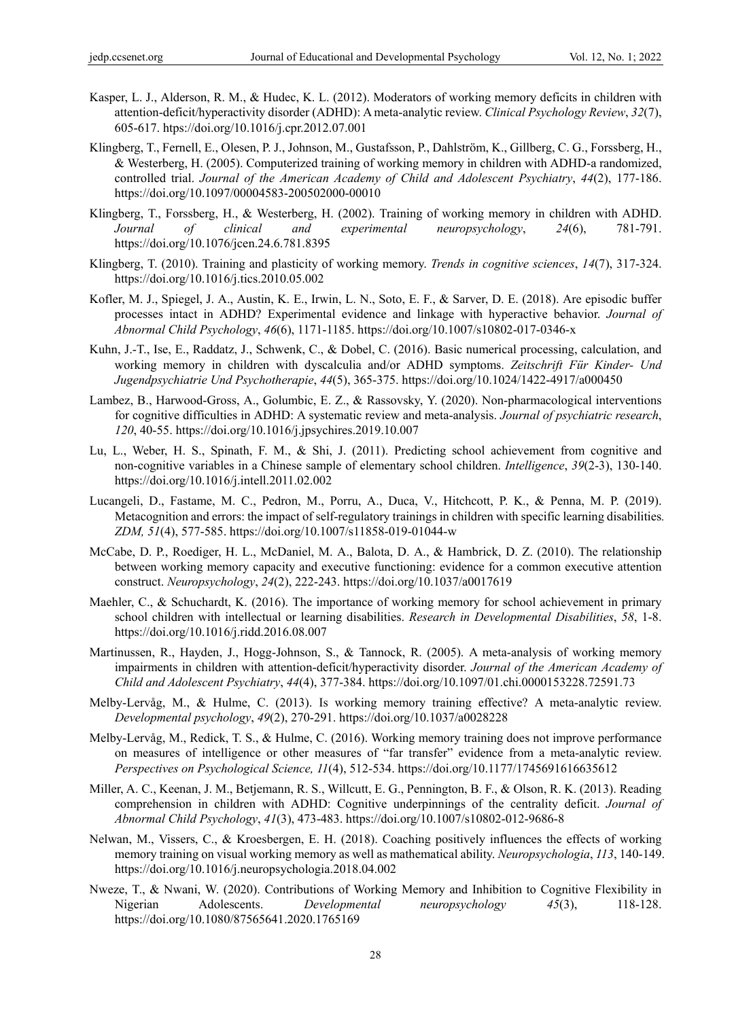- Kasper, L. J., Alderson, R. M., & Hudec, K. L. (2012). Moderators of working memory deficits in children with attention-deficit/hyperactivity disorder (ADHD): A meta-analytic review. *Clinical Psychology Review*, *32*(7), 605-617. htps://doi.org/10.1016/j.cpr.2012.07.001
- Klingberg, T., Fernell, E., Olesen, P. J., Johnson, M., Gustafsson, P., Dahlström, K., Gillberg, C. G., Forssberg, H., & Westerberg, H. (2005). Computerized training of working memory in children with ADHD-a randomized, controlled trial. *Journal of the American Academy of Child and Adolescent Psychiatry*, *44*(2), 177-186. https://doi.org/10.1097/00004583-200502000-00010
- Klingberg, T., Forssberg, H., & Westerberg, H. (2002). Training of working memory in children with ADHD. *Journal of clinical and experimental neuropsychology*, *24*(6), 781-791. https://doi.org/10.1076/jcen.24.6.781.8395
- Klingberg, T. (2010). Training and plasticity of working memory. *Trends in cognitive sciences*, *14*(7), 317-324. https://doi.org/10.1016/j.tics.2010.05.002
- Kofler, M. J., Spiegel, J. A., Austin, K. E., Irwin, L. N., Soto, E. F., & Sarver, D. E. (2018). Are episodic buffer processes intact in ADHD? Experimental evidence and linkage with hyperactive behavior. *Journal of Abnormal Child Psychology*, *46*(6), 1171-1185. https://doi.org/10.1007/s10802-017-0346-x
- Kuhn, J.-T., Ise, E., Raddatz, J., Schwenk, C., & Dobel, C. (2016). Basic numerical processing, calculation, and working memory in children with dyscalculia and/or ADHD symptoms. *Zeitschrift Für Kinder- Und Jugendpsychiatrie Und Psychotherapie*, *44*(5), 365-375. https://doi.org/10.1024/1422-4917/a000450
- Lambez, B., Harwood-Gross, A., Golumbic, E. Z., & Rassovsky, Y. (2020). Non-pharmacological interventions for cognitive difficulties in ADHD: A systematic review and meta-analysis. *Journal of psychiatric research*, *120*, 40-55. https://doi.org/10.1016/j.jpsychires.2019.10.007
- Lu, L., Weber, H. S., Spinath, F. M., & Shi, J. (2011). Predicting school achievement from cognitive and non-cognitive variables in a Chinese sample of elementary school children. *Intelligence*, *39*(2-3), 130-140. https://doi.org/10.1016/j.intell.2011.02.002
- Lucangeli, D., Fastame, M. C., Pedron, M., Porru, A., Duca, V., Hitchcott, P. K., & Penna, M. P. (2019). Metacognition and errors: the impact of self-regulatory trainings in children with specific learning disabilities*. ZDM, 51*(4), 577-585. https://doi.org/10.1007/s11858-019-01044-w
- McCabe, D. P., Roediger, H. L., McDaniel, M. A., Balota, D. A., & Hambrick, D. Z. (2010). The relationship between working memory capacity and executive functioning: evidence for a common executive attention construct. *Neuropsychology*, *24*(2), 222-243. https://doi.org/10.1037/a0017619
- Maehler, C., & Schuchardt, K. (2016). The importance of working memory for school achievement in primary school children with intellectual or learning disabilities. *Research in Developmental Disabilities*, *58*, 1-8. https://doi.org/10.1016/j.ridd.2016.08.007
- Martinussen, R., Hayden, J., Hogg-Johnson, S., & Tannock, R. (2005). A meta-analysis of working memory impairments in children with attention-deficit/hyperactivity disorder. *Journal of the American Academy of Child and Adolescent Psychiatry*, *44*(4), 377-384. https://doi.org/10.1097/01.chi.0000153228.72591.73
- Melby-Lervåg, M., & Hulme, C. (2013). Is working memory training effective? A meta-analytic review. *Developmental psychology*, *49*(2), 270-291. https://doi.org/10.1037/a0028228
- Melby-Lervåg, M., Redick, T. S., & Hulme, C. (2016). Working memory training does not improve performance on measures of intelligence or other measures of "far transfer" evidence from a meta-analytic review. *Perspectives on Psychological Science, 11*(4), 512-534. https://doi.org/10.1177/1745691616635612
- Miller, A. C., Keenan, J. M., Betjemann, R. S., Willcutt, E. G., Pennington, B. F., & Olson, R. K. (2013). Reading comprehension in children with ADHD: Cognitive underpinnings of the centrality deficit. *Journal of Abnormal Child Psychology*, *41*(3), 473-483. https://doi.org/10.1007/s10802-012-9686-8
- Nelwan, M., Vissers, C., & Kroesbergen, E. H. (2018). Coaching positively influences the effects of working memory training on visual working memory as well as mathematical ability. *Neuropsychologia*, *113*, 140-149. https://doi.org/10.1016/j.neuropsychologia.2018.04.002
- Nweze, T., & Nwani, W. (2020). Contributions of Working Memory and Inhibition to Cognitive Flexibility in Nigerian Adolescents. *Developmental neuropsychology 45*(3), 118-128. https://doi.org/10.1080/87565641.2020.1765169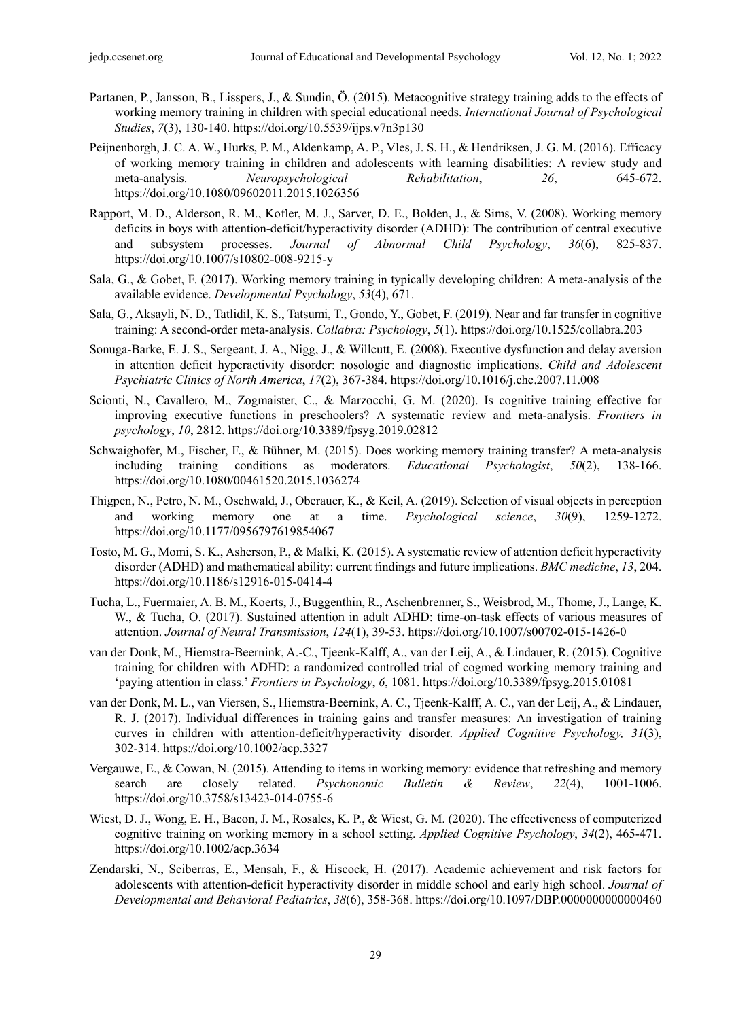- Partanen, P., Jansson, B., Lisspers, J., & Sundin, Ö. (2015). Metacognitive strategy training adds to the effects of working memory training in children with special educational needs. *International Journal of Psychological Studies*, *7*(3), 130-140. https://doi.org/10.5539/ijps.v7n3p130
- Peijnenborgh, J. C. A. W., Hurks, P. M., Aldenkamp, A. P., Vles, J. S. H., & Hendriksen, J. G. M. (2016). Efficacy of working memory training in children and adolescents with learning disabilities: A review study and meta-analysis. *Neuropsychological Rehabilitation*, *26*, 645-672. https://doi.org/10.1080/09602011.2015.1026356
- Rapport, M. D., Alderson, R. M., Kofler, M. J., Sarver, D. E., Bolden, J., & Sims, V. (2008). Working memory deficits in boys with attention-deficit/hyperactivity disorder (ADHD): The contribution of central executive and subsystem processes. *Journal of Abnormal Child Psychology*, *36*(6), 825-837. https://doi.org/10.1007/s10802-008-9215-y
- Sala, G., & Gobet, F. (2017). Working memory training in typically developing children: A meta-analysis of the available evidence. *Developmental Psychology*, *53*(4), 671.
- Sala, G., Aksayli, N. D., Tatlidil, K. S., Tatsumi, T., Gondo, Y., Gobet, F. (2019). Near and far transfer in cognitive training: A second-order meta-analysis. *Collabra: Psychology*, *5*(1). https://doi.org/10.1525/collabra.203
- Sonuga-Barke, E. J. S., Sergeant, J. A., Nigg, J., & Willcutt, E. (2008). Executive dysfunction and delay aversion in attention deficit hyperactivity disorder: nosologic and diagnostic implications. *Child and Adolescent Psychiatric Clinics of North America*, *17*(2), 367-384. https://doi.org/10.1016/j.chc.2007.11.008
- Scionti, N., Cavallero, M., Zogmaister, C., & Marzocchi, G. M. (2020). Is cognitive training effective for improving executive functions in preschoolers? A systematic review and meta-analysis. *Frontiers in psychology*, *10*, 2812. https://doi.org/10.3389/fpsyg.2019.02812
- Schwaighofer, M., Fischer, F., & Bühner, M. (2015). Does working memory training transfer? A meta-analysis including training conditions as moderators. *Educational Psychologist*, *50*(2), 138-166. https://doi.org/10.1080/00461520.2015.1036274
- Thigpen, N., Petro, N. M., Oschwald, J., Oberauer, K., & Keil, A. (2019). Selection of visual objects in perception and working memory one at a time. *Psychological science*, *30*(9), 1259-1272. https://doi.org/10.1177/0956797619854067
- Tosto, M. G., Momi, S. K., Asherson, P., & Malki, K. (2015). A systematic review of attention deficit hyperactivity disorder (ADHD) and mathematical ability: current findings and future implications. *BMC medicine*, *13*, 204. https://doi.org/10.1186/s12916-015-0414-4
- Tucha, L., Fuermaier, A. B. M., Koerts, J., Buggenthin, R., Aschenbrenner, S., Weisbrod, M., Thome, J., Lange, K. W., & Tucha, O. (2017). Sustained attention in adult ADHD: time-on-task effects of various measures of attention. *Journal of Neural Transmission*, *124*(1), 39-53. https://doi.org/10.1007/s00702-015-1426-0
- van der Donk, M., Hiemstra-Beernink, A.-C., Tjeenk-Kalff, A., van der Leij, A., & Lindauer, R. (2015). Cognitive training for children with ADHD: a randomized controlled trial of cogmed working memory training and 'paying attention in class.' *Frontiers in Psychology*, *6*, 1081. https://doi.org/10.3389/fpsyg.2015.01081
- van der Donk, M. L., van Viersen, S., Hiemstra-Beernink, A. C., Tjeenk-Kalff, A. C., van der Leij, A., & Lindauer, R. J. (2017). Individual differences in training gains and transfer measures: An investigation of training curves in children with attention‐deficit/hyperactivity disorder. *Applied Cognitive Psychology, 31*(3), 302-314. https://doi.org/10.1002/acp.3327
- Vergauwe, E., & Cowan, N. (2015). Attending to items in working memory: evidence that refreshing and memory search are closely related. *Psychonomic Bulletin & Review*, *22*(4), 1001-1006. https://doi.org/10.3758/s13423-014-0755-6
- Wiest, D. J., Wong, E. H., Bacon, J. M., Rosales, K. P., & Wiest, G. M. (2020). The effectiveness of computerized cognitive training on working memory in a school setting. *Applied Cognitive Psychology*, *34*(2), 465-471. https://doi.org/10.1002/acp.3634
- Zendarski, N., Sciberras, E., Mensah, F., & Hiscock, H. (2017). Academic achievement and risk factors for adolescents with attention-deficit hyperactivity disorder in middle school and early high school. *Journal of Developmental and Behavioral Pediatrics*, *38*(6), 358-368. https://doi.org/10.1097/DBP.0000000000000460